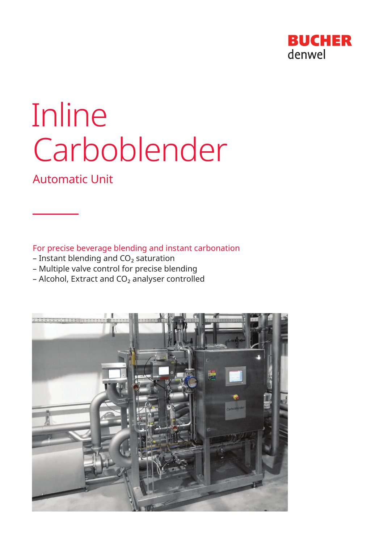

# Inline Carboblender

# Automatic Unit

For precise beverage blending and instant carbonation

- Instant blending and  $CO<sub>2</sub>$  saturation
- Multiple valve control for precise blending
- $-$  Alcohol, Extract and CO<sub>2</sub> analyser controlled